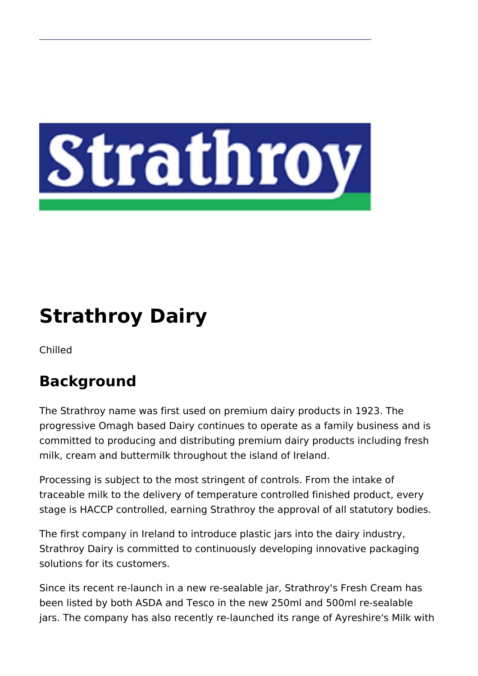

# **Strathroy Dairy**

Chilled

## **Background**

The Strathroy name was first used on premium dairy products in 1923. The progressive Omagh based Dairy continues to operate as a family business and is committed to producing and distributing premium dairy products including fresh milk, cream and buttermilk throughout the island of Ireland.

Processing is subject to the most stringent of controls. From the intake of traceable milk to the delivery of temperature controlled finished product, every stage is HACCP controlled, earning Strathroy the approval of all statutory bodies.

The first company in Ireland to introduce plastic jars into the dairy industry, Strathroy Dairy is committed to continuously developing innovative packaging solutions for its customers.

Since its recent re-launch in a new re-sealable jar, Strathroy's Fresh Cream has been listed by both ASDA and Tesco in the new 250ml and 500ml re-sealable jars. The company has also recently re-launched its range of Ayreshire's Milk with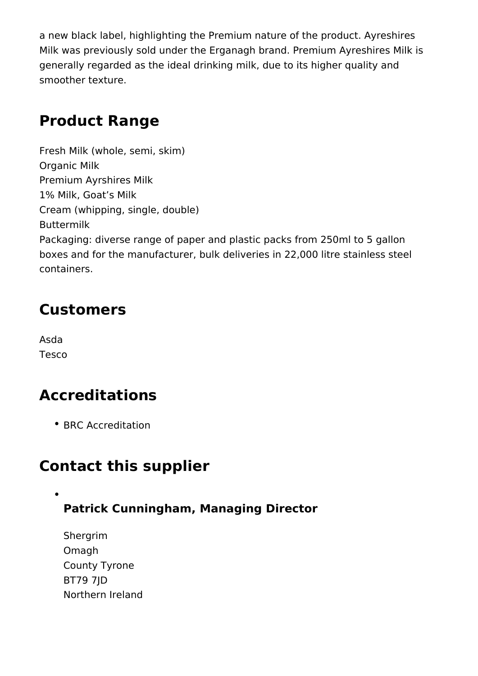a new black label, highlighting the Premium nature of the product. Ayreshires Milk was previously sold under the Erganagh brand. Premium Ayreshires Milk is generally regarded as the ideal drinking milk, due to its higher quality and smoother texture.

#### **Product Range**

Fresh Milk (whole, semi, skim) Organic Milk Premium Ayrshires Milk 1% Milk, Goat's Milk Cream (whipping, single, double) Buttermilk Packaging: diverse range of paper and plastic packs from 250ml to 5 gallon boxes and for the manufacturer, bulk deliveries in 22,000 litre stainless steel containers.

## **Customers**

Asda Tesco

## **Accreditations**

• BRC Accreditation

#### **Contact this supplier**

#### **Patrick Cunningham, Managing Director**

Shergrim Omagh County Tyrone BT79 7JD Northern Ireland